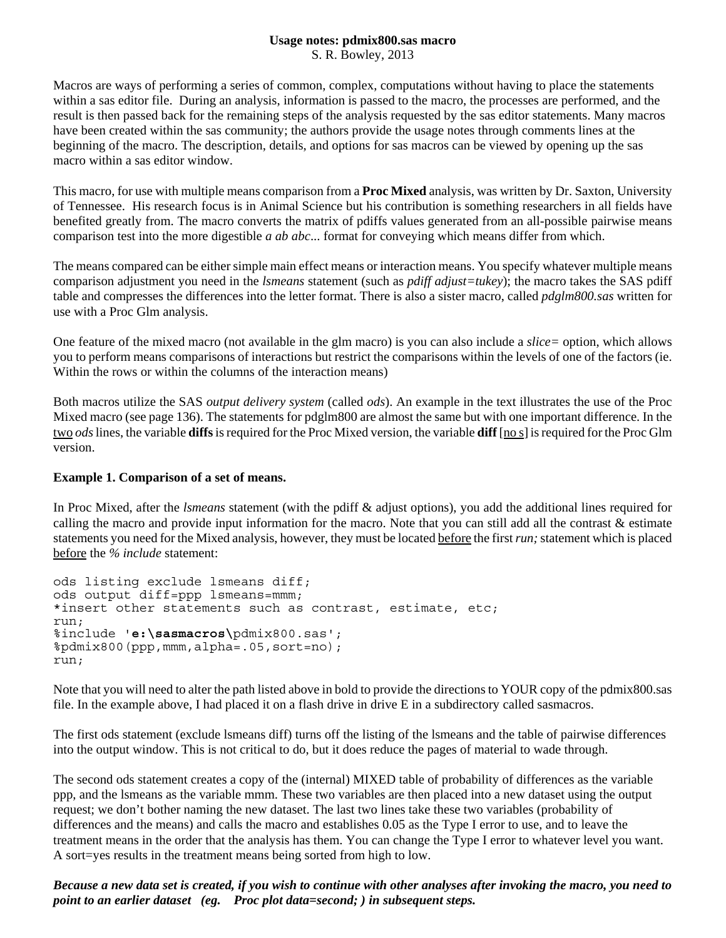## **Usage notes: pdmix800.sas macro**

S. R. Bowley, 2013

Macros are ways of performing a series of common, complex, computations without having to place the statements within a sas editor file. During an analysis, information is passed to the macro, the processes are performed, and the result is then passed back for the remaining steps of the analysis requested by the sas editor statements. Many macros have been created within the sas community; the authors provide the usage notes through comments lines at the beginning of the macro. The description, details, and options for sas macros can be viewed by opening up the sas macro within a sas editor window.

This macro, for use with multiple means comparison from a **Proc Mixed** analysis, was written by Dr. Saxton, University of Tennessee. His research focus is in Animal Science but his contribution is something researchers in all fields have benefited greatly from. The macro converts the matrix of pdiffs values generated from an all-possible pairwise means comparison test into the more digestible *a ab abc*... format for conveying which means differ from which.

The means compared can be either simple main effect means or interaction means. You specify whatever multiple means comparison adjustment you need in the *lsmeans* statement (such as *pdiff adjust=tukey*); the macro takes the SAS pdiff table and compresses the differences into the letter format. There is also a sister macro, called *pdglm800.sas* written for use with a Proc Glm analysis.

One feature of the mixed macro (not available in the glm macro) is you can also include a *slice=* option, which allows you to perform means comparisons of interactions but restrict the comparisons within the levels of one of the factors (ie. Within the rows or within the columns of the interaction means)

Both macros utilize the SAS *output delivery system* (called *ods*). An example in the text illustrates the use of the Proc Mixed macro (see page 136). The statements for pdglm800 are almost the same but with one important difference. In the two *ods* lines, the variable **diffs** is required for the Proc Mixed version, the variable **diff** [no s] is required for the Proc Glm version.

## **Example 1. Comparison of a set of means.**

In Proc Mixed, after the *lsmeans* statement (with the pdiff & adjust options), you add the additional lines required for calling the macro and provide input information for the macro. Note that you can still add all the contrast  $\&$  estimate statements you need for the Mixed analysis, however, they must be located before the first *run;* statement which is placed before the *% include* statement:

```
ods listing exclude lsmeans diff;
ods output diff=ppp lsmeans=mmm;
*insert other statements such as contrast, estimate, etc;
run;
%include 'e:\sasmacros\pdmix800.sas';
%pdmix800(ppp,mmm,alpha=.05,sort=no);
run;
```
Note that you will need to alter the path listed above in bold to provide the directions to YOUR copy of the pdmix800.sas file. In the example above, I had placed it on a flash drive in drive E in a subdirectory called sasmacros.

The first ods statement (exclude lsmeans diff) turns off the listing of the lsmeans and the table of pairwise differences into the output window. This is not critical to do, but it does reduce the pages of material to wade through.

The second ods statement creates a copy of the (internal) MIXED table of probability of differences as the variable ppp, and the lsmeans as the variable mmm. These two variables are then placed into a new dataset using the output request; we don't bother naming the new dataset. The last two lines take these two variables (probability of differences and the means) and calls the macro and establishes 0.05 as the Type I error to use, and to leave the treatment means in the order that the analysis has them. You can change the Type I error to whatever level you want. A sort=yes results in the treatment means being sorted from high to low.

*Because a new data set is created, if you wish to continue with other analyses after invoking the macro, you need to point to an earlier dataset (eg. Proc plot data=second; ) in subsequent steps.*